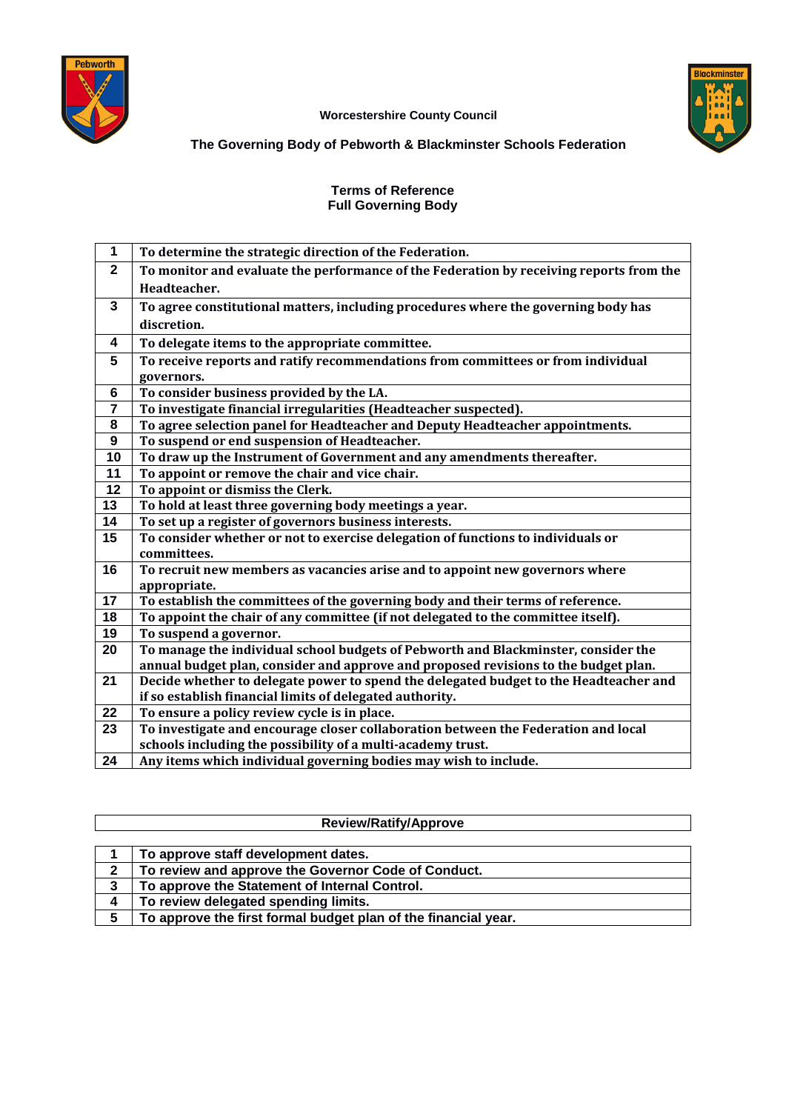



## **Worcestershire County Council**

## **The Governing Body of Pebworth & Blackminster Schools Federation**

## **Terms of Reference Full Governing Body**

| 1              | To determine the strategic direction of the Federation.                                 |
|----------------|-----------------------------------------------------------------------------------------|
| $\mathbf 2$    | To monitor and evaluate the performance of the Federation by receiving reports from the |
|                | Headteacher.                                                                            |
| $\overline{3}$ | To agree constitutional matters, including procedures where the governing body has      |
|                | discretion.                                                                             |
| 4              | To delegate items to the appropriate committee.                                         |
| 5              | To receive reports and ratify recommendations from committees or from individual        |
|                | governors.                                                                              |
| 6              | To consider business provided by the LA.                                                |
| $\overline{7}$ | To investigate financial irregularities (Headteacher suspected).                        |
| 8              | To agree selection panel for Headteacher and Deputy Headteacher appointments.           |
| 9              | To suspend or end suspension of Headteacher.                                            |
| 10             | To draw up the Instrument of Government and any amendments thereafter.                  |
| 11             | To appoint or remove the chair and vice chair.                                          |
| 12             | To appoint or dismiss the Clerk.                                                        |
| 13             | To hold at least three governing body meetings a year.                                  |
| 14             | To set up a register of governors business interests.                                   |
| 15             | To consider whether or not to exercise delegation of functions to individuals or        |
|                | committees.                                                                             |
| 16             | To recruit new members as vacancies arise and to appoint new governors where            |
|                | appropriate.                                                                            |
| 17             | To establish the committees of the governing body and their terms of reference.         |
| 18             | To appoint the chair of any committee (if not delegated to the committee itself).       |
| 19             | To suspend a governor.                                                                  |
| 20             | To manage the individual school budgets of Pebworth and Blackminster, consider the      |
|                | annual budget plan, consider and approve and proposed revisions to the budget plan.     |
| 21             | Decide whether to delegate power to spend the delegated budget to the Headteacher and   |
|                | if so establish financial limits of delegated authority.                                |
| 22             | To ensure a policy review cycle is in place.                                            |
| 23             | To investigate and encourage closer collaboration between the Federation and local      |
|                | schools including the possibility of a multi-academy trust.                             |
| 24             | Any items which individual governing bodies may wish to include.                        |

| <b>Review/Ratify/Approve</b> |                                                                |  |  |
|------------------------------|----------------------------------------------------------------|--|--|
|                              |                                                                |  |  |
|                              | To approve staff development dates.                            |  |  |
| $\mathbf{2}$                 | To review and approve the Governor Code of Conduct.            |  |  |
| 3                            | To approve the Statement of Internal Control.                  |  |  |
| 4                            | To review delegated spending limits.                           |  |  |
| 5                            | To approve the first formal budget plan of the financial year. |  |  |